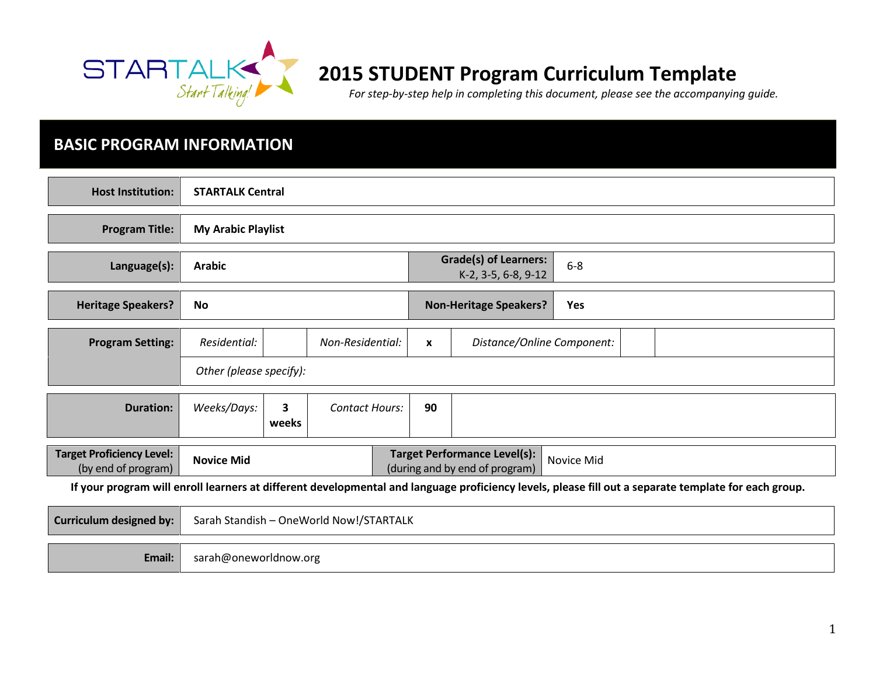

# 2015 STUDENT Program Curriculum Template

For step-by-step help in completing this document, please see the accompanying guide.

## BASIC PROGRAM INFORMATION

| <b>Host Institution:</b>                                                                                                                             | <b>STARTALK Central</b>                                                                                  |                                                              |                       |  |              |                               |     |  |
|------------------------------------------------------------------------------------------------------------------------------------------------------|----------------------------------------------------------------------------------------------------------|--------------------------------------------------------------|-----------------------|--|--------------|-------------------------------|-----|--|
| <b>Program Title:</b>                                                                                                                                | <b>My Arabic Playlist</b>                                                                                |                                                              |                       |  |              |                               |     |  |
| Language(s):                                                                                                                                         | <b>Arabic</b>                                                                                            | <b>Grade(s) of Learners:</b><br>$6-8$<br>K-2, 3-5, 6-8, 9-12 |                       |  |              |                               |     |  |
| <b>Heritage Speakers?</b>                                                                                                                            | No                                                                                                       |                                                              |                       |  |              | <b>Non-Heritage Speakers?</b> | Yes |  |
| <b>Program Setting:</b>                                                                                                                              | Residential:                                                                                             |                                                              | Non-Residential:      |  | $\mathbf{x}$ | Distance/Online Component:    |     |  |
|                                                                                                                                                      | Other (please specify):                                                                                  |                                                              |                       |  |              |                               |     |  |
| <b>Duration:</b>                                                                                                                                     | Weeks/Days:                                                                                              | 3<br>weeks                                                   | <b>Contact Hours:</b> |  | 90           |                               |     |  |
| <b>Target Proficiency Level:</b><br>(by end of program)                                                                                              | <b>Target Performance Level(s):</b><br><b>Novice Mid</b><br>Novice Mid<br>(during and by end of program) |                                                              |                       |  |              |                               |     |  |
| If your program will enroll learners at different developmental and language proficiency levels, please fill out a separate template for each group. |                                                                                                          |                                                              |                       |  |              |                               |     |  |
| <b>Curriculum designed by:</b>                                                                                                                       | Sarah Standish - OneWorld Now!/STARTALK                                                                  |                                                              |                       |  |              |                               |     |  |
| Email:                                                                                                                                               | sarah@oneworldnow.org                                                                                    |                                                              |                       |  |              |                               |     |  |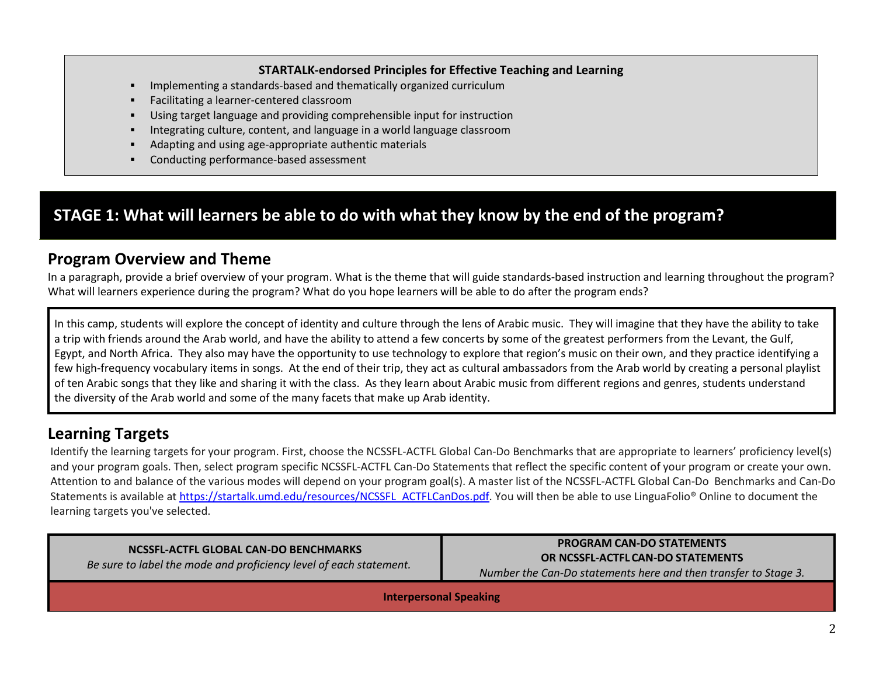#### STARTALK-endorsed Principles for Effective Teaching and Learning

- Е Implementing a standards-based and thematically organized curriculum
- Е Facilitating a learner-centered classroom
- г Using target language and providing comprehensible input for instruction
- г Integrating culture, content, and language in a world language classroom
- г Adapting and using age-appropriate authentic materials
- $\blacksquare$ Conducting performance-based assessment

## STAGE 1: What will learners be able to do with what they know by the end of the program?

#### Program Overview and Theme

 In a paragraph, provide a brief overview of your program. What is the theme that will guide standards-based instruction and learning throughout the program? What will learners experience during the program? What do you hope learners will be able to do after the program ends?

In this camp, students will explore the concept of identity and culture through the lens of Arabic music. They will imagine that they have the ability to take a trip with friends around the Arab world, and have the ability to attend a few concerts by some of the greatest performers from the Levant, the Gulf, Egypt, and North Africa. They also may have the opportunity to use technology to explore that region's music on their own, and they practice identifying a few high-frequency vocabulary items in songs. At the end of their trip, they act as cultural ambassadors from the Arab world by creating a personal playlist of ten Arabic songs that they like and sharing it with the class. As they learn about Arabic music from different regions and genres, students understandthe diversity of the Arab world and some of the many facets that make up Arab identity.

#### Learning Targets

Identify the learning targets for your program. First, choose the NCSSFL-ACTFL Global Can-Do Benchmarks that are appropriate to learners' proficiency level(s) and your program goals. Then, select program specific NCSSFL-ACTFL Can-Do Statements that reflect the specific content of your program or create your own.Attention to and balance of the various modes will depend on your program goal(s). A master list of the NCSSFL-ACTFL Global Can-Do Benchmarks and Can-DoStatements is available at https://startalk.umd.edu/resources/NCSSFL\_ACTFLCanDos.pdf. You will then be able to use LinguaFolio® Online to document the learning targets you've selected.

| NCSSFL-ACTFL GLOBAL CAN-DO BENCHMARKS                              |
|--------------------------------------------------------------------|
| Be sure to label the mode and proficiency level of each statement. |

PROGRAM CAN-DO STATEMENTS OR NCSSFL-ACTFL CAN-DO STATEMENTS Number the Can-Do statements here and then transfer to Stage 3.

Interpersonal Speaking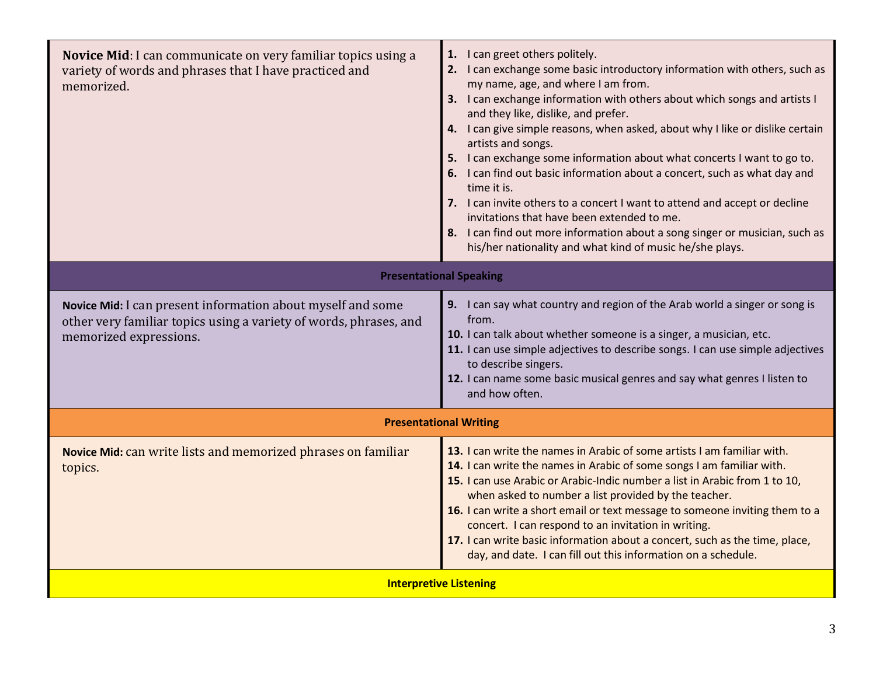| Novice Mid: I can communicate on very familiar topics using a<br>variety of words and phrases that I have practiced and<br>memorized.                      | 1. I can greet others politely.<br>2. I can exchange some basic introductory information with others, such as<br>my name, age, and where I am from.<br>3. I can exchange information with others about which songs and artists I<br>and they like, dislike, and prefer.<br>4. I can give simple reasons, when asked, about why I like or dislike certain<br>artists and songs.<br>5. I can exchange some information about what concerts I want to go to.<br>6. I can find out basic information about a concert, such as what day and<br>time it is.<br>7. I can invite others to a concert I want to attend and accept or decline<br>invitations that have been extended to me.<br>8. I can find out more information about a song singer or musician, such as<br>his/her nationality and what kind of music he/she plays. |  |  |
|------------------------------------------------------------------------------------------------------------------------------------------------------------|------------------------------------------------------------------------------------------------------------------------------------------------------------------------------------------------------------------------------------------------------------------------------------------------------------------------------------------------------------------------------------------------------------------------------------------------------------------------------------------------------------------------------------------------------------------------------------------------------------------------------------------------------------------------------------------------------------------------------------------------------------------------------------------------------------------------------|--|--|
|                                                                                                                                                            | <b>Presentational Speaking</b>                                                                                                                                                                                                                                                                                                                                                                                                                                                                                                                                                                                                                                                                                                                                                                                               |  |  |
| Novice Mid: I can present information about myself and some<br>other very familiar topics using a variety of words, phrases, and<br>memorized expressions. | 9. I can say what country and region of the Arab world a singer or song is<br>from.<br>10. I can talk about whether someone is a singer, a musician, etc.<br>11. I can use simple adjectives to describe songs. I can use simple adjectives<br>to describe singers.<br>12. I can name some basic musical genres and say what genres I listen to<br>and how often.                                                                                                                                                                                                                                                                                                                                                                                                                                                            |  |  |
|                                                                                                                                                            | <b>Presentational Writing</b>                                                                                                                                                                                                                                                                                                                                                                                                                                                                                                                                                                                                                                                                                                                                                                                                |  |  |
| Novice Mid: can write lists and memorized phrases on familiar<br>topics.                                                                                   | 13. I can write the names in Arabic of some artists I am familiar with.<br>14. I can write the names in Arabic of some songs I am familiar with.<br>15. I can use Arabic or Arabic-Indic number a list in Arabic from 1 to 10,<br>when asked to number a list provided by the teacher.<br>16. I can write a short email or text message to someone inviting them to a<br>concert. I can respond to an invitation in writing.<br>17. I can write basic information about a concert, such as the time, place,<br>day, and date. I can fill out this information on a schedule.                                                                                                                                                                                                                                                 |  |  |
| <b>Interpretive Listening</b>                                                                                                                              |                                                                                                                                                                                                                                                                                                                                                                                                                                                                                                                                                                                                                                                                                                                                                                                                                              |  |  |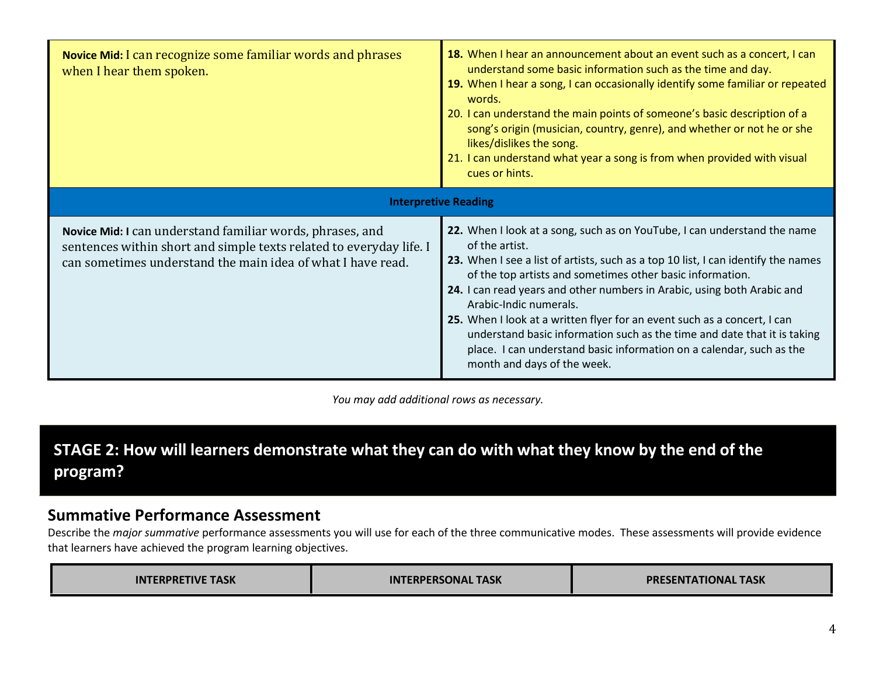| <b>Novice Mid:</b> I can recognize some familiar words and phrases<br>when I hear them spoken.                                                                                                  | 18. When I hear an announcement about an event such as a concert, I can<br>understand some basic information such as the time and day.<br>19. When I hear a song, I can occasionally identify some familiar or repeated<br>words.<br>20. I can understand the main points of someone's basic description of a<br>song's origin (musician, country, genre), and whether or not he or she<br>likes/dislikes the song.<br>21. I can understand what year a song is from when provided with visual<br>cues or hints.                                                                                                 |
|-------------------------------------------------------------------------------------------------------------------------------------------------------------------------------------------------|------------------------------------------------------------------------------------------------------------------------------------------------------------------------------------------------------------------------------------------------------------------------------------------------------------------------------------------------------------------------------------------------------------------------------------------------------------------------------------------------------------------------------------------------------------------------------------------------------------------|
|                                                                                                                                                                                                 | <b>Interpretive Reading</b>                                                                                                                                                                                                                                                                                                                                                                                                                                                                                                                                                                                      |
| Novice Mid: I can understand familiar words, phrases, and<br>sentences within short and simple texts related to everyday life. I<br>can sometimes understand the main idea of what I have read. | 22. When I look at a song, such as on YouTube, I can understand the name<br>of the artist.<br>23. When I see a list of artists, such as a top 10 list, I can identify the names<br>of the top artists and sometimes other basic information.<br>24. I can read years and other numbers in Arabic, using both Arabic and<br>Arabic-Indic numerals.<br>25. When I look at a written flyer for an event such as a concert, I can<br>understand basic information such as the time and date that it is taking<br>place. I can understand basic information on a calendar, such as the<br>month and days of the week. |

You may add additional rows as necessary.

# STAGE 2: How will learners demonstrate what they can do with what they know by the end of the program?

#### Summative Performance Assessment

Describe the major summative performance assessments you will use for each of the three communicative modes. These assessments will provide evidence that learners have achieved the program learning objectives.

| <b>INTERPRETIVE TASK</b> | <b>INTERPERSONAL TASK</b> | <b>PRESENTATIONAL TASK</b> |
|--------------------------|---------------------------|----------------------------|
|--------------------------|---------------------------|----------------------------|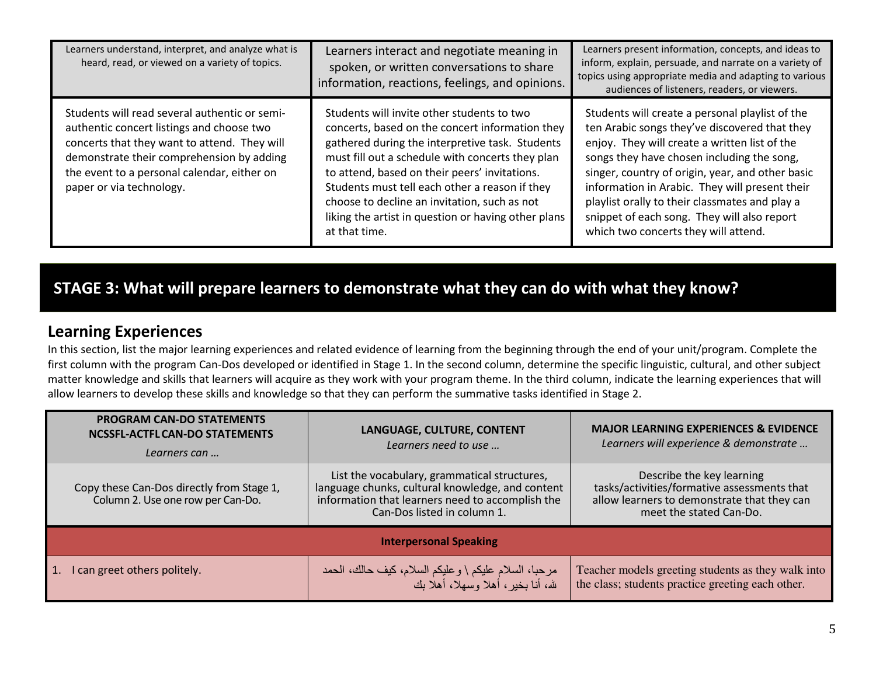| Learners understand, interpret, and analyze what is<br>heard, read, or viewed on a variety of topics.                                                                                                                                                              | Learners interact and negotiate meaning in<br>spoken, or written conversations to share<br>information, reactions, feelings, and opinions.                                                                                                                                                                                                                                                                                      | Learners present information, concepts, and ideas to<br>inform, explain, persuade, and narrate on a variety of<br>topics using appropriate media and adapting to various<br>audiences of listeners, readers, or viewers.                                                                                                                                                                                                                       |
|--------------------------------------------------------------------------------------------------------------------------------------------------------------------------------------------------------------------------------------------------------------------|---------------------------------------------------------------------------------------------------------------------------------------------------------------------------------------------------------------------------------------------------------------------------------------------------------------------------------------------------------------------------------------------------------------------------------|------------------------------------------------------------------------------------------------------------------------------------------------------------------------------------------------------------------------------------------------------------------------------------------------------------------------------------------------------------------------------------------------------------------------------------------------|
| Students will read several authentic or semi-<br>authentic concert listings and choose two<br>concerts that they want to attend. They will<br>demonstrate their comprehension by adding<br>the event to a personal calendar, either on<br>paper or via technology. | Students will invite other students to two<br>concerts, based on the concert information they<br>gathered during the interpretive task. Students<br>must fill out a schedule with concerts they plan<br>to attend, based on their peers' invitations.<br>Students must tell each other a reason if they<br>choose to decline an invitation, such as not<br>liking the artist in question or having other plans<br>at that time. | Students will create a personal playlist of the<br>ten Arabic songs they've discovered that they<br>enjoy. They will create a written list of the<br>songs they have chosen including the song,<br>singer, country of origin, year, and other basic<br>information in Arabic. They will present their<br>playlist orally to their classmates and play a<br>snippet of each song. They will also report<br>which two concerts they will attend. |

## STAGE 3: What will prepare learners to demonstrate what they can do with what they know?

#### Learning Experiences

In this section, list the major learning experiences and related evidence of learning from the beginning through the end of your unit/program. Complete the first column with the program Can-Dos developed or identified in Stage 1. In the second column, determine the specific linguistic, cultural, and other subject matter knowledge and skills that learners will acquire as they work with your program theme. In the third column, indicate the learning experiences that will allow learners to develop these skills and knowledge so that they can perform the summative tasks identified in Stage 2.

| <b>PROGRAM CAN-DO STATEMENTS</b><br><b>NCSSFL-ACTFL CAN-DO STATEMENTS</b><br>Learners can | LANGUAGE, CULTURE, CONTENT<br>Learners need to use                                                                                                                                  | <b>MAJOR LEARNING EXPERIENCES &amp; EVIDENCE</b><br>Learners will experience & demonstrate                                                         |  |  |  |
|-------------------------------------------------------------------------------------------|-------------------------------------------------------------------------------------------------------------------------------------------------------------------------------------|----------------------------------------------------------------------------------------------------------------------------------------------------|--|--|--|
| Copy these Can-Dos directly from Stage 1,<br>Column 2. Use one row per Can-Do.            | List the vocabulary, grammatical structures,<br>language chunks, cultural knowledge, and content<br>information that learners need to accomplish the<br>Can-Dos listed in column 1. | Describe the key learning<br>tasks/activities/formative assessments that<br>allow learners to demonstrate that they can<br>meet the stated Can-Do. |  |  |  |
| <b>Interpersonal Speaking</b>                                                             |                                                                                                                                                                                     |                                                                                                                                                    |  |  |  |
| I can greet others politely.                                                              | مرحبا، السلام عليكم \ وعليكم السلام، كيف حالك، الحمد<br>شه، أنا بخير ، أهلا وسهلا، أهلا بك                                                                                          | Teacher models greeting students as they walk into<br>the class; students practice greeting each other.                                            |  |  |  |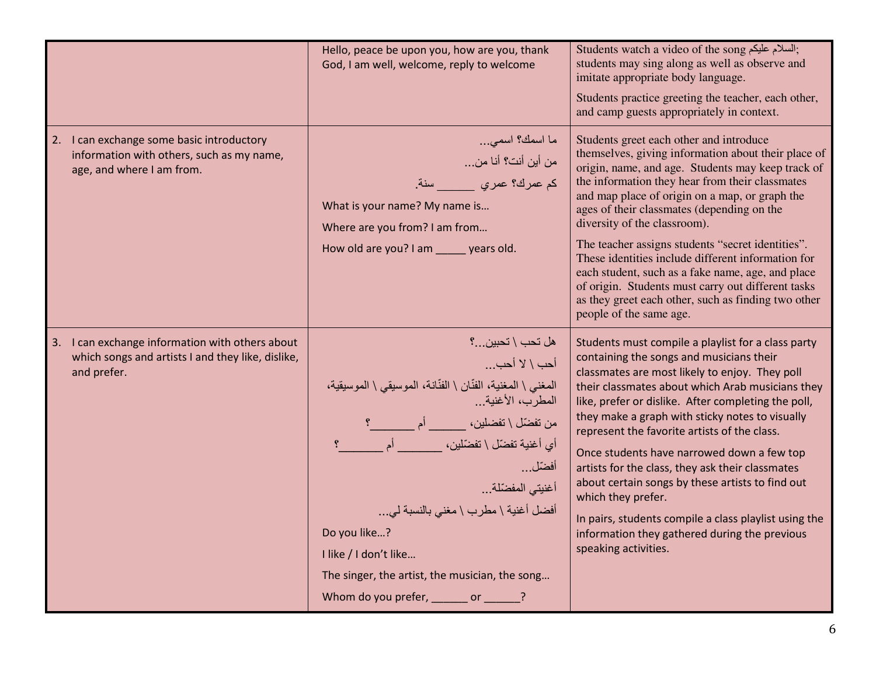|                                                                                                                     | Hello, peace be upon you, how are you, thank<br>God, I am well, welcome, reply to welcome                                                                                                                                                                                                                                                                                 | Students watch a video of the song إللسلام عليكم;<br>students may sing along as well as observe and<br>imitate appropriate body language.<br>Students practice greeting the teacher, each other,<br>and camp guests appropriately in context.                                                                                                                                                                                                                                                                                                                                                                                                                                |
|---------------------------------------------------------------------------------------------------------------------|---------------------------------------------------------------------------------------------------------------------------------------------------------------------------------------------------------------------------------------------------------------------------------------------------------------------------------------------------------------------------|------------------------------------------------------------------------------------------------------------------------------------------------------------------------------------------------------------------------------------------------------------------------------------------------------------------------------------------------------------------------------------------------------------------------------------------------------------------------------------------------------------------------------------------------------------------------------------------------------------------------------------------------------------------------------|
| 2. I can exchange some basic introductory<br>information with others, such as my name,<br>age, and where I am from. | ما اسمك؟ اسمى<br>من أين أنت؟ أنا من<br>كم عمرك؟ عمري _____ سنة.<br>What is your name? My name is<br>Where are you from? I am from<br>How old are you? I am _____ years old.                                                                                                                                                                                               | Students greet each other and introduce<br>themselves, giving information about their place of<br>origin, name, and age. Students may keep track of<br>the information they hear from their classmates<br>and map place of origin on a map, or graph the<br>ages of their classmates (depending on the<br>diversity of the classroom).<br>The teacher assigns students "secret identities".<br>These identities include different information for<br>each student, such as a fake name, age, and place<br>of origin. Students must carry out different tasks<br>as they greet each other, such as finding two other<br>people of the same age.                               |
| 3. I can exchange information with others about<br>which songs and artists I and they like, dislike,<br>and prefer. | هل تحب \ تحبين؟<br>أحب \ لا أحب<br>المغنى \ المغنية، الفنّان \ الفنّانة، الموسيقي \ الموسيقية،<br>المطرب، الأغنية<br>أي أغنية تفضّل \ تفضّلين،                 أم<br>أفضّل<br>أغنيتي المفضّلة<br>أفضل أغنية \ مطرب \ مغنى بالنسبة لي<br>Do you like?<br>I like / I don't like<br>The singer, the artist, the musician, the song<br>Whom do you prefer, _______ or ______? | Students must compile a playlist for a class party<br>containing the songs and musicians their<br>classmates are most likely to enjoy. They poll<br>their classmates about which Arab musicians they<br>like, prefer or dislike. After completing the poll,<br>they make a graph with sticky notes to visually<br>represent the favorite artists of the class.<br>Once students have narrowed down a few top<br>artists for the class, they ask their classmates<br>about certain songs by these artists to find out<br>which they prefer.<br>In pairs, students compile a class playlist using the<br>information they gathered during the previous<br>speaking activities. |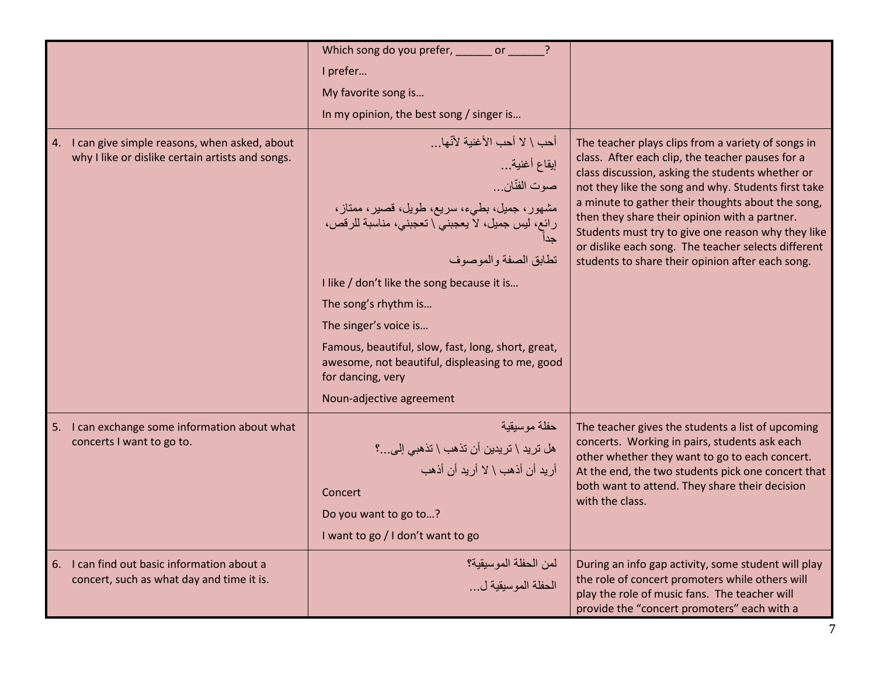|                                                                                                     | Which song do you prefer, _______ or ______                                                                                                                                                                                                                                                                                                                                                                        |                                                                                                                                                                                                                                                                                                                                                                                                                                                                                          |
|-----------------------------------------------------------------------------------------------------|--------------------------------------------------------------------------------------------------------------------------------------------------------------------------------------------------------------------------------------------------------------------------------------------------------------------------------------------------------------------------------------------------------------------|------------------------------------------------------------------------------------------------------------------------------------------------------------------------------------------------------------------------------------------------------------------------------------------------------------------------------------------------------------------------------------------------------------------------------------------------------------------------------------------|
|                                                                                                     | I prefer                                                                                                                                                                                                                                                                                                                                                                                                           |                                                                                                                                                                                                                                                                                                                                                                                                                                                                                          |
|                                                                                                     | My favorite song is                                                                                                                                                                                                                                                                                                                                                                                                |                                                                                                                                                                                                                                                                                                                                                                                                                                                                                          |
|                                                                                                     | In my opinion, the best song / singer is                                                                                                                                                                                                                                                                                                                                                                           |                                                                                                                                                                                                                                                                                                                                                                                                                                                                                          |
| 4. I can give simple reasons, when asked, about<br>why I like or dislike certain artists and songs. | أحب \ لا أحب الأغنية لأنّها<br>إيقاع أغنية<br>صوت الفنّان<br>مشهور، جميل، بطيء، سريع، طويل، قصير، ممناز،<br>رائع، ليس جميل، لا يعجبني \ تعجبني، مناسبة للرقص،<br>تطابق الصفة والموصوف<br>I like / don't like the song because it is<br>The song's rhythm is<br>The singer's voice is<br>Famous, beautiful, slow, fast, long, short, great,<br>awesome, not beautiful, displeasing to me, good<br>for dancing, very | The teacher plays clips from a variety of songs in<br>class. After each clip, the teacher pauses for a<br>class discussion, asking the students whether or<br>not they like the song and why. Students first take<br>a minute to gather their thoughts about the song,<br>then they share their opinion with a partner.<br>Students must try to give one reason why they like<br>or dislike each song. The teacher selects different<br>students to share their opinion after each song. |
|                                                                                                     | Noun-adjective agreement                                                                                                                                                                                                                                                                                                                                                                                           |                                                                                                                                                                                                                                                                                                                                                                                                                                                                                          |
| I can exchange some information about what<br>5.<br>concerts I want to go to.                       | حفلة موسيقية<br>هل تريد \ تريدين أن تذهب \ تذهبي إلى…؟<br>أر يد أن أذهب \ لا أر يد أن أذهب<br>Concert<br>Do you want to go to?<br>I want to go / I don't want to go                                                                                                                                                                                                                                                | The teacher gives the students a list of upcoming<br>concerts. Working in pairs, students ask each<br>other whether they want to go to each concert.<br>At the end, the two students pick one concert that<br>both want to attend. They share their decision<br>with the class.                                                                                                                                                                                                          |
| I can find out basic information about a<br>6.<br>concert, such as what day and time it is.         | لمن الحفلة الموسيقية؟<br>الحفلة الموسيقية ل                                                                                                                                                                                                                                                                                                                                                                        | During an info gap activity, some student will play<br>the role of concert promoters while others will<br>play the role of music fans. The teacher will<br>provide the "concert promoters" each with a                                                                                                                                                                                                                                                                                   |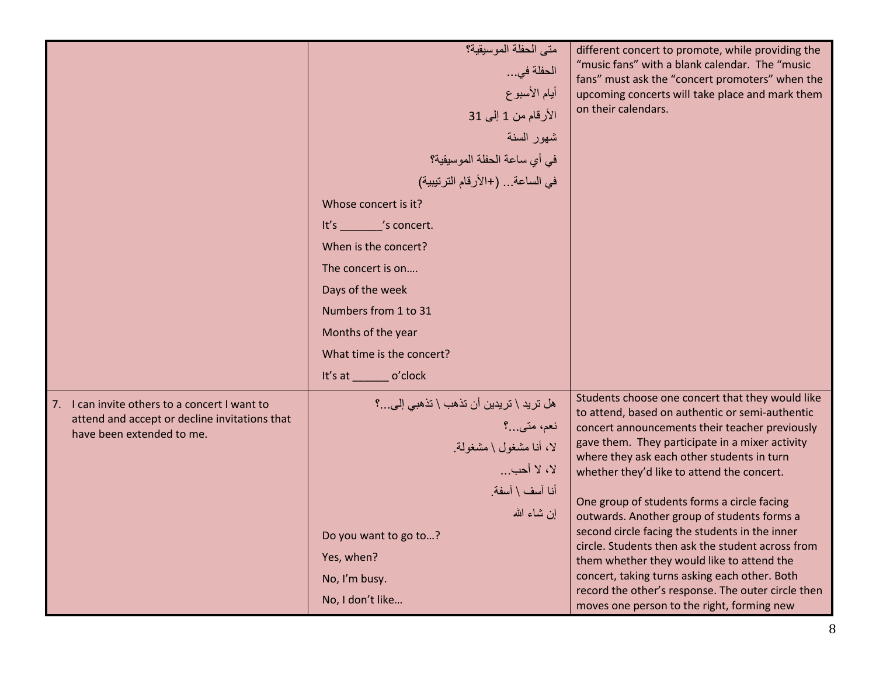|                                                                                                                                | متي الحفلة الموسيقية؟<br>الحفلة في<br>أيام الأسبوع<br>الأرقام من 1 إلى 31<br>شهور السنة<br>في أي ساعة الحفلة الموسيقية؟<br>في الساعة (+الأرقام الترتيبية)<br>Whose concert is it?<br>It's _______ 's concert.<br>When is the concert?<br>The concert is on<br>Days of the week<br>Numbers from 1 to 31 | different concert to promote, while providing the<br>"music fans" with a blank calendar. The "music<br>fans" must ask the "concert promoters" when the<br>upcoming concerts will take place and mark them<br>on their calendars.                                                                                                                                                                                                                                                                                                                                                                                                                                                                             |
|--------------------------------------------------------------------------------------------------------------------------------|--------------------------------------------------------------------------------------------------------------------------------------------------------------------------------------------------------------------------------------------------------------------------------------------------------|--------------------------------------------------------------------------------------------------------------------------------------------------------------------------------------------------------------------------------------------------------------------------------------------------------------------------------------------------------------------------------------------------------------------------------------------------------------------------------------------------------------------------------------------------------------------------------------------------------------------------------------------------------------------------------------------------------------|
|                                                                                                                                | Months of the year<br>What time is the concert?                                                                                                                                                                                                                                                        |                                                                                                                                                                                                                                                                                                                                                                                                                                                                                                                                                                                                                                                                                                              |
| I can invite others to a concert I want to<br>7.<br>attend and accept or decline invitations that<br>have been extended to me. | It's at _________ o'clock<br>هل تريد \ تريدين أن تذهب \ تذهبي إلى؟<br>نعم، متبي…؟<br>لا، أنا مشغول \ مشغولة<br>لا، لا أحب<br>أنا آسف \ آسفة.<br>إن شاء الله<br>Do you want to go to?<br>Yes, when?<br>No, I'm busy.<br>No, I don't like                                                                | Students choose one concert that they would like<br>to attend, based on authentic or semi-authentic<br>concert announcements their teacher previously<br>gave them. They participate in a mixer activity<br>where they ask each other students in turn<br>whether they'd like to attend the concert.<br>One group of students forms a circle facing<br>outwards. Another group of students forms a<br>second circle facing the students in the inner<br>circle. Students then ask the student across from<br>them whether they would like to attend the<br>concert, taking turns asking each other. Both<br>record the other's response. The outer circle then<br>moves one person to the right, forming new |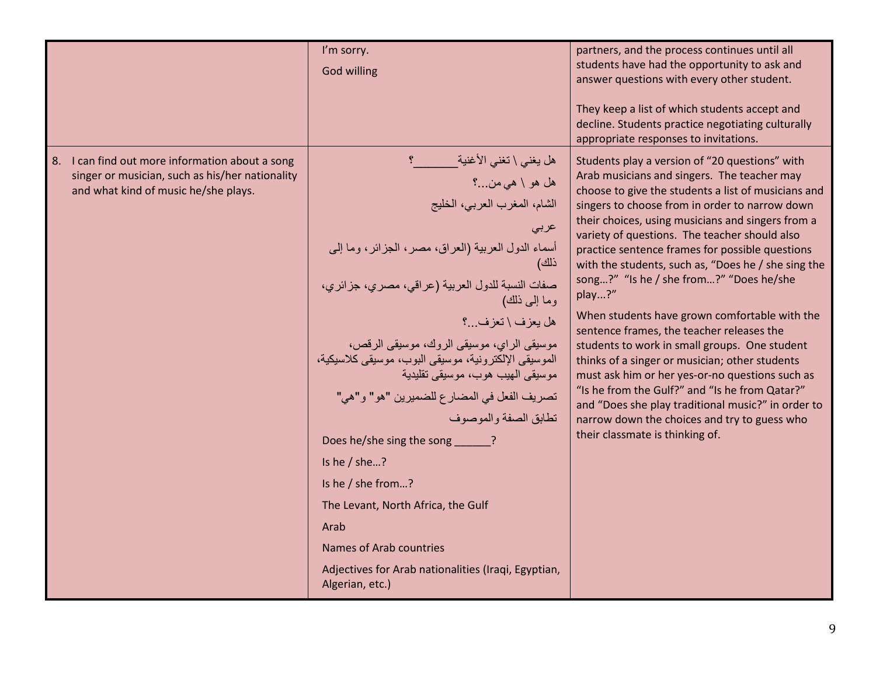|                                                                                                                                            | I'm sorry.<br><b>God willing</b>                                                                                                                                                                                                                                                                                                                                                                                                                                                                                                                                                                                                                                                         | partners, and the process continues until all<br>students have had the opportunity to ask and<br>answer questions with every other student.<br>They keep a list of which students accept and<br>decline. Students practice negotiating culturally<br>appropriate responses to invitations.                                                                                                                                                                                                                                                                                                                                                                                                                                                                                                                                                                                                                                 |
|--------------------------------------------------------------------------------------------------------------------------------------------|------------------------------------------------------------------------------------------------------------------------------------------------------------------------------------------------------------------------------------------------------------------------------------------------------------------------------------------------------------------------------------------------------------------------------------------------------------------------------------------------------------------------------------------------------------------------------------------------------------------------------------------------------------------------------------------|----------------------------------------------------------------------------------------------------------------------------------------------------------------------------------------------------------------------------------------------------------------------------------------------------------------------------------------------------------------------------------------------------------------------------------------------------------------------------------------------------------------------------------------------------------------------------------------------------------------------------------------------------------------------------------------------------------------------------------------------------------------------------------------------------------------------------------------------------------------------------------------------------------------------------|
| 8. I can find out more information about a song<br>singer or musician, such as his/her nationality<br>and what kind of music he/she plays. | هل يغني \ تغني الأغنية<br>هل هو \ هي من…؟<br>الشام، المغرب العربي، الخليج<br>عربى<br>أسماء الدول العربية (العراق، مصر، الجزائر، وما إلى<br>ذلك)<br>صفات النسبة للدول العربية (عراقي، مصري، جزائري،<br>وما إلى ذلك)<br>هل يعزف \ تعزف .؟<br>موسيقى الراي، موسيقى الروك، موسيقى الرقص،<br>الموسيقى الإلكترونية، موسيقى البوب، موسيقى كلاسيكية،<br>مو سيقى الھيب ھو ب، مو سيقى تقليدية<br>تصريف الفعل في المضارع للضميرين "هو" و"هي"<br>تطابق الصفة والموصوف<br>Does he/she sing the song ______?<br>Is he $/$ she?<br>Is he / she from?<br>The Levant, North Africa, the Gulf<br>Arab<br>Names of Arab countries<br>Adjectives for Arab nationalities (Iraqi, Egyptian,<br>Algerian, etc.) | Students play a version of "20 questions" with<br>Arab musicians and singers. The teacher may<br>choose to give the students a list of musicians and<br>singers to choose from in order to narrow down<br>their choices, using musicians and singers from a<br>variety of questions. The teacher should also<br>practice sentence frames for possible questions<br>with the students, such as, "Does he / she sing the<br>song?" "Is he / she from?" "Does he/she<br>play?"<br>When students have grown comfortable with the<br>sentence frames, the teacher releases the<br>students to work in small groups. One student<br>thinks of a singer or musician; other students<br>must ask him or her yes-or-no questions such as<br>"Is he from the Gulf?" and "Is he from Qatar?"<br>and "Does she play traditional music?" in order to<br>narrow down the choices and try to guess who<br>their classmate is thinking of. |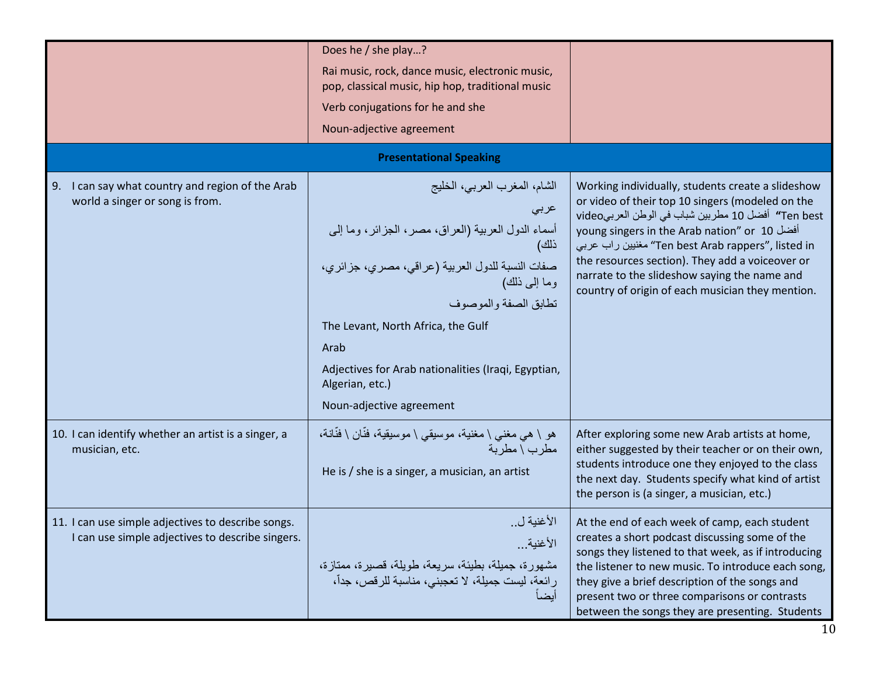|                                                                                                        | Does he / she play?                                                                                                                                                                                                                                                                                                                               |                                                                                                                                                                                                                                                                                                                                                                                                                     |
|--------------------------------------------------------------------------------------------------------|---------------------------------------------------------------------------------------------------------------------------------------------------------------------------------------------------------------------------------------------------------------------------------------------------------------------------------------------------|---------------------------------------------------------------------------------------------------------------------------------------------------------------------------------------------------------------------------------------------------------------------------------------------------------------------------------------------------------------------------------------------------------------------|
|                                                                                                        | Rai music, rock, dance music, electronic music,<br>pop, classical music, hip hop, traditional music                                                                                                                                                                                                                                               |                                                                                                                                                                                                                                                                                                                                                                                                                     |
|                                                                                                        | Verb conjugations for he and she                                                                                                                                                                                                                                                                                                                  |                                                                                                                                                                                                                                                                                                                                                                                                                     |
|                                                                                                        | Noun-adjective agreement                                                                                                                                                                                                                                                                                                                          |                                                                                                                                                                                                                                                                                                                                                                                                                     |
|                                                                                                        | <b>Presentational Speaking</b>                                                                                                                                                                                                                                                                                                                    |                                                                                                                                                                                                                                                                                                                                                                                                                     |
| I can say what country and region of the Arab<br>9.<br>world a singer or song is from.                 | الشام، المغرب العربي، الخليج<br>عربى<br>أسماء الدول العربية (العراق، مصر، الجزائر، وما إلى<br>ذلك)<br>صفات النسبة للدول العربية (عراقي، مصري، جزائري،<br>وما إلى ذلك)<br>تطابق الصفة والموصوف<br>The Levant, North Africa, the Gulf<br>Arab<br>Adjectives for Arab nationalities (Iraqi, Egyptian,<br>Algerian, etc.)<br>Noun-adjective agreement | Working individually, students create a slideshow<br>or video of their top 10 singers (modeled on the<br>Ten best" أفضل 10 مطربين شباب في الوطن العربيvideo<br>young singers in the Arab nation" or 10<br>Ten best Arab rappers", listed in" مغنيين راب عربي<br>the resources section). They add a voiceover or<br>narrate to the slideshow saying the name and<br>country of origin of each musician they mention. |
| 10. I can identify whether an artist is a singer, a<br>musician, etc.                                  | هو \ هي مغني \ مغنية، موسيقي \ موسيقية، فنَّان \ فنَّانة،<br>مطرب \ مطربة<br>He is $/$ she is a singer, a musician, an artist                                                                                                                                                                                                                     | After exploring some new Arab artists at home,<br>either suggested by their teacher or on their own,<br>students introduce one they enjoyed to the class<br>the next day. Students specify what kind of artist<br>the person is (a singer, a musician, etc.)                                                                                                                                                        |
| 11. I can use simple adjectives to describe songs.<br>I can use simple adjectives to describe singers. | الأغنية ل<br>الأغنية<br>مشهورة، جميلة، بطيئة، سريعة، طويلة، قصيرة، ممتازة،<br>رائعة، ليست جميلة، لا تعجبني، مناسبة للرقص، جداّ،<br>أيضأ                                                                                                                                                                                                           | At the end of each week of camp, each student<br>creates a short podcast discussing some of the<br>songs they listened to that week, as if introducing<br>the listener to new music. To introduce each song,<br>they give a brief description of the songs and<br>present two or three comparisons or contrasts<br>between the songs they are presenting. Students                                                  |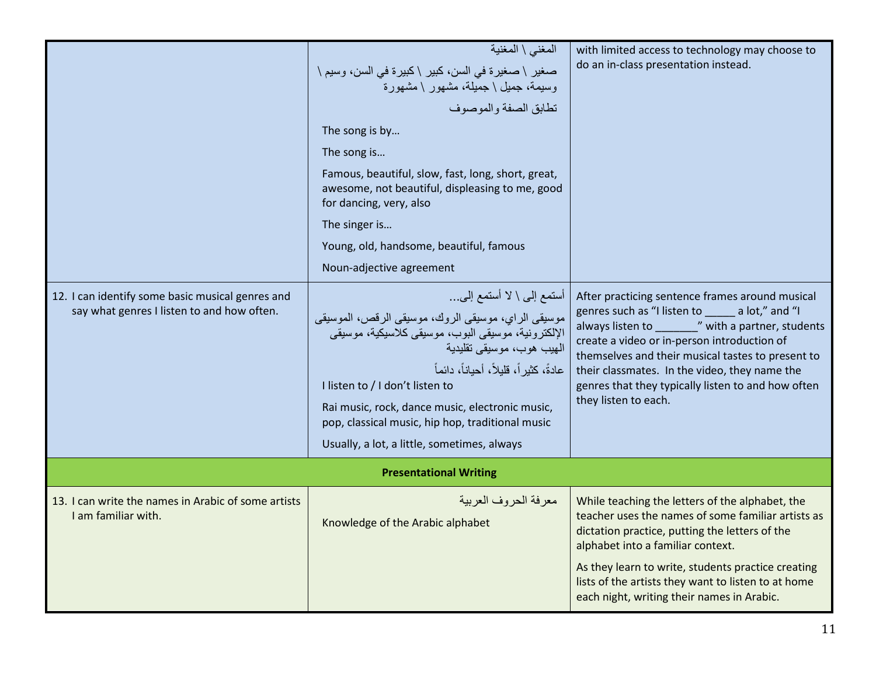| 12. I can identify some basic musical genres and<br>say what genres I listen to and how often. | المغنى \ المغنية<br>صغير \ صغيرة في السن، كبير \ كبيرة في السن، وسيم \<br>وسيمة، جميل \ جميلة، مشهور \ مشهورة<br>تطابق الصفة والموصوف<br>The song is by<br>The song is<br>Famous, beautiful, slow, fast, long, short, great,<br>awesome, not beautiful, displeasing to me, good<br>for dancing, very, also<br>The singer is<br>Young, old, handsome, beautiful, famous<br>Noun-adjective agreement<br>أستمع إلى \ لا أستمع إلى<br>موسيقى الراي، موسيقى الروك، موسيقى الرقص، الموسيقى<br>الإلكترونية، موسيقى البوب، موسيقى كلاسيكية، موسيقى<br>الهيب هوب، موسيقى تقليدية<br>عادةً، كثير أ، قلبلاً، أحباناً، دائماً<br>I listen to / I don't listen to<br>Rai music, rock, dance music, electronic music,<br>pop, classical music, hip hop, traditional music | with limited access to technology may choose to<br>do an in-class presentation instead.<br>After practicing sentence frames around musical<br>genres such as "I listen to ______ a lot," and "I<br>always listen to __________" with a partner, students<br>create a video or in-person introduction of<br>themselves and their musical tastes to present to<br>their classmates. In the video, they name the<br>genres that they typically listen to and how often<br>they listen to each. |
|------------------------------------------------------------------------------------------------|-------------------------------------------------------------------------------------------------------------------------------------------------------------------------------------------------------------------------------------------------------------------------------------------------------------------------------------------------------------------------------------------------------------------------------------------------------------------------------------------------------------------------------------------------------------------------------------------------------------------------------------------------------------------------------------------------------------------------------------------------------------|---------------------------------------------------------------------------------------------------------------------------------------------------------------------------------------------------------------------------------------------------------------------------------------------------------------------------------------------------------------------------------------------------------------------------------------------------------------------------------------------|
|                                                                                                | Usually, a lot, a little, sometimes, always<br><b>Presentational Writing</b>                                                                                                                                                                                                                                                                                                                                                                                                                                                                                                                                                                                                                                                                                |                                                                                                                                                                                                                                                                                                                                                                                                                                                                                             |
| 13. I can write the names in Arabic of some artists<br>I am familiar with.                     | معرفة الحروف العربية<br>Knowledge of the Arabic alphabet                                                                                                                                                                                                                                                                                                                                                                                                                                                                                                                                                                                                                                                                                                    | While teaching the letters of the alphabet, the<br>teacher uses the names of some familiar artists as<br>dictation practice, putting the letters of the<br>alphabet into a familiar context.<br>As they learn to write, students practice creating<br>lists of the artists they want to listen to at home<br>each night, writing their names in Arabic.                                                                                                                                     |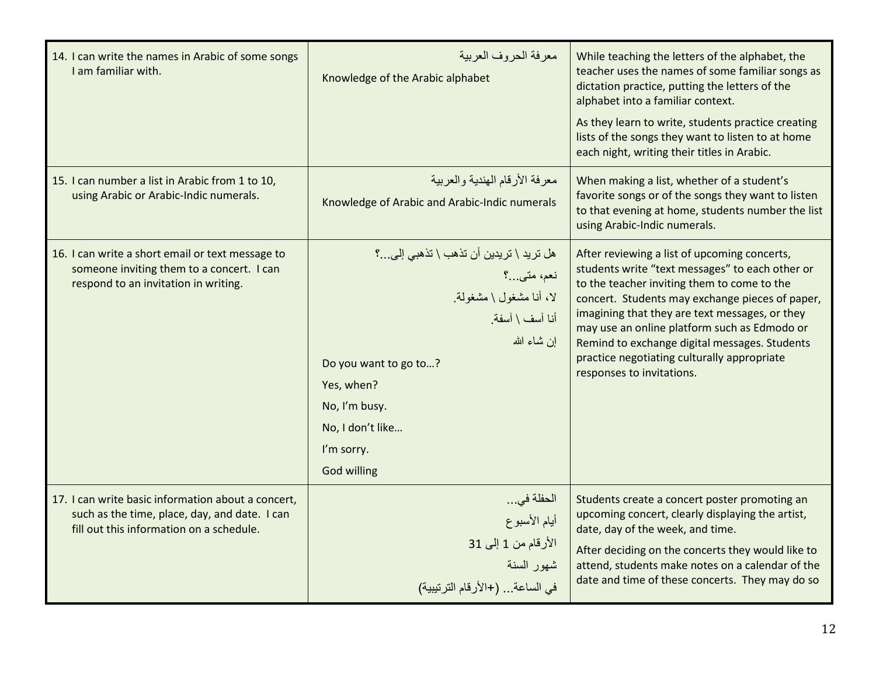| 14. I can write the names in Arabic of some songs<br>I am familiar with.                                                                        | معرفة الحروف العربية<br>Knowledge of the Arabic alphabet                                                                                                                                                                 | While teaching the letters of the alphabet, the<br>teacher uses the names of some familiar songs as<br>dictation practice, putting the letters of the<br>alphabet into a familiar context.<br>As they learn to write, students practice creating<br>lists of the songs they want to listen to at home<br>each night, writing their titles in Arabic.                                                                             |
|-------------------------------------------------------------------------------------------------------------------------------------------------|--------------------------------------------------------------------------------------------------------------------------------------------------------------------------------------------------------------------------|----------------------------------------------------------------------------------------------------------------------------------------------------------------------------------------------------------------------------------------------------------------------------------------------------------------------------------------------------------------------------------------------------------------------------------|
| 15. I can number a list in Arabic from 1 to 10,<br>using Arabic or Arabic-Indic numerals.                                                       | معر فة الأر قام الهندية و العر بية<br>Knowledge of Arabic and Arabic-Indic numerals                                                                                                                                      | When making a list, whether of a student's<br>favorite songs or of the songs they want to listen<br>to that evening at home, students number the list<br>using Arabic-Indic numerals.                                                                                                                                                                                                                                            |
| 16. I can write a short email or text message to<br>someone inviting them to a concert. I can<br>respond to an invitation in writing.           | هل تريد \ تريدين أن تذهب \ تذهبي إلى؟<br>نعم، متبي…؟<br>لا، أنا مشغول \ مشغولة<br>أنا آسف \ آسفة<br>إن شاء الله<br>Do you want to go to?<br>Yes, when?<br>No, I'm busy.<br>No, I don't like<br>I'm sorry.<br>God willing | After reviewing a list of upcoming concerts,<br>students write "text messages" to each other or<br>to the teacher inviting them to come to the<br>concert. Students may exchange pieces of paper,<br>imagining that they are text messages, or they<br>may use an online platform such as Edmodo or<br>Remind to exchange digital messages. Students<br>practice negotiating culturally appropriate<br>responses to invitations. |
| 17. I can write basic information about a concert,<br>such as the time, place, day, and date. I can<br>fill out this information on a schedule. | الحفلة في<br>أيام الأسبوع<br>الأرقام من 1 إلى 31<br>شهور السنة<br>في الساعة  (+الأرقام الترتيبية)                                                                                                                        | Students create a concert poster promoting an<br>upcoming concert, clearly displaying the artist,<br>date, day of the week, and time.<br>After deciding on the concerts they would like to<br>attend, students make notes on a calendar of the<br>date and time of these concerts. They may do so                                                                                                                                |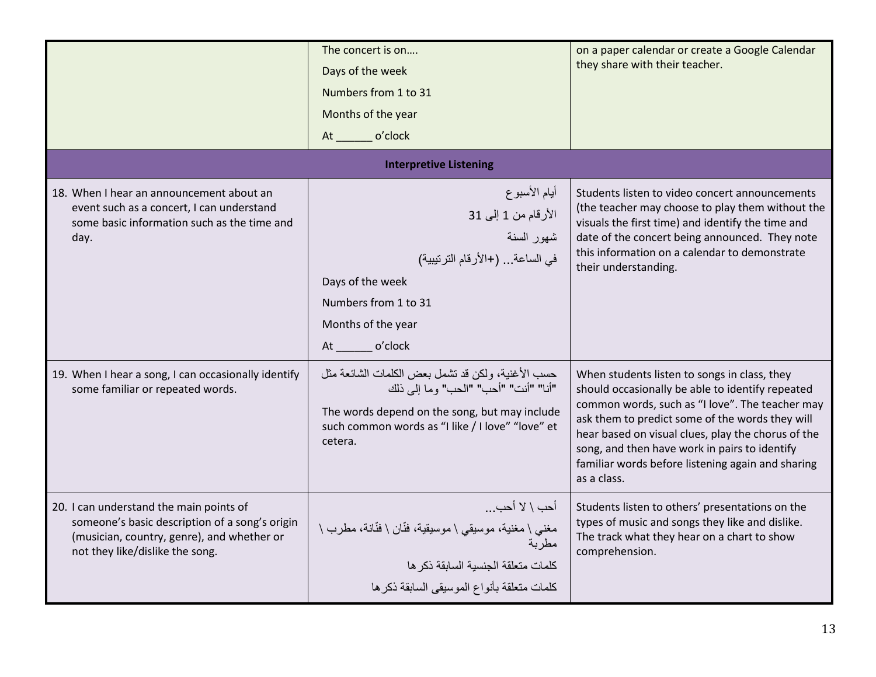|                                                                                                                                                                            | The concert is on<br>Days of the week<br>Numbers from 1 to 31<br>Months of the year<br>At o'clock                                                                                                         | on a paper calendar or create a Google Calendar<br>they share with their teacher.                                                                                                                                                                                                                                                                                                 |  |
|----------------------------------------------------------------------------------------------------------------------------------------------------------------------------|-----------------------------------------------------------------------------------------------------------------------------------------------------------------------------------------------------------|-----------------------------------------------------------------------------------------------------------------------------------------------------------------------------------------------------------------------------------------------------------------------------------------------------------------------------------------------------------------------------------|--|
| <b>Interpretive Listening</b>                                                                                                                                              |                                                                                                                                                                                                           |                                                                                                                                                                                                                                                                                                                                                                                   |  |
| 18. When I hear an announcement about an<br>event such as a concert, I can understand<br>some basic information such as the time and<br>day.                               | أيام الأسبوع<br>الأرقام من 1 إلى 31<br>شهور السنة<br>في الساعة (+الأرقام الترنيبية)<br>Days of the week<br>Numbers from 1 to 31<br>Months of the year<br>o'clock                                          | Students listen to video concert announcements<br>(the teacher may choose to play them without the<br>visuals the first time) and identify the time and<br>date of the concert being announced. They note<br>this information on a calendar to demonstrate<br>their understanding.                                                                                                |  |
| 19. When I hear a song, I can occasionally identify<br>some familiar or repeated words.                                                                                    | حسب الأغنية، ولكن قد نشمل بعض الكلمات الشائعة مثل<br>"أنا" "أنت" "أحب" "الحب" وما إلى ذلك<br>The words depend on the song, but may include<br>such common words as "I like / I love" "love" et<br>cetera. | When students listen to songs in class, they<br>should occasionally be able to identify repeated<br>common words, such as "I love". The teacher may<br>ask them to predict some of the words they will<br>hear based on visual clues, play the chorus of the<br>song, and then have work in pairs to identify<br>familiar words before listening again and sharing<br>as a class. |  |
| 20. I can understand the main points of<br>someone's basic description of a song's origin<br>(musician, country, genre), and whether or<br>not they like/dislike the song. | أحب \ لا أحب<br>مغني \ مغنية، موسيقي \ موسيقية، فنّان \ فُنّانة، مطرب \<br>مطر بة<br>كلمات منعلقة الجنسية السابقة ذكر ها<br>كلمات متعلقة بأنواع الموسيقى السابقة ذكرها                                    | Students listen to others' presentations on the<br>types of music and songs they like and dislike.<br>The track what they hear on a chart to show<br>comprehension.                                                                                                                                                                                                               |  |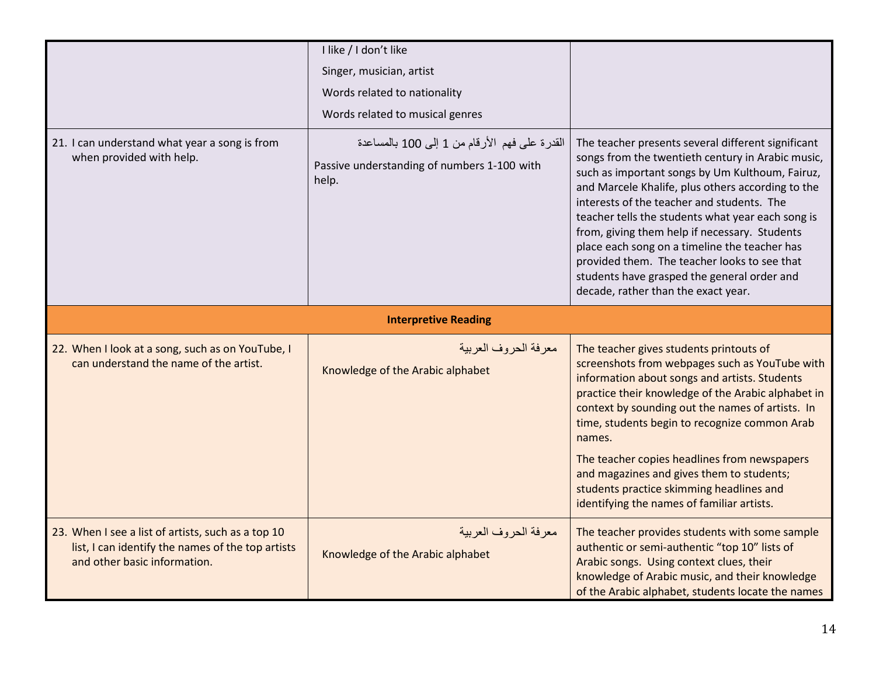|                                                                                                                                         | I like / I don't like<br>Singer, musician, artist<br>Words related to nationality<br>Words related to musical genres |                                                                                                                                                                                                                                                                                                                                                                                                                                                                                                                                                            |
|-----------------------------------------------------------------------------------------------------------------------------------------|----------------------------------------------------------------------------------------------------------------------|------------------------------------------------------------------------------------------------------------------------------------------------------------------------------------------------------------------------------------------------------------------------------------------------------------------------------------------------------------------------------------------------------------------------------------------------------------------------------------------------------------------------------------------------------------|
| 21. I can understand what year a song is from<br>when provided with help.                                                               | القدرة على فهم الأرقام من 1 إلى 100 بالمساعدة<br>Passive understanding of numbers 1-100 with<br>help.                | The teacher presents several different significant<br>songs from the twentieth century in Arabic music,<br>such as important songs by Um Kulthoum, Fairuz,<br>and Marcele Khalife, plus others according to the<br>interests of the teacher and students. The<br>teacher tells the students what year each song is<br>from, giving them help if necessary. Students<br>place each song on a timeline the teacher has<br>provided them. The teacher looks to see that<br>students have grasped the general order and<br>decade, rather than the exact year. |
| <b>Interpretive Reading</b>                                                                                                             |                                                                                                                      |                                                                                                                                                                                                                                                                                                                                                                                                                                                                                                                                                            |
| 22. When I look at a song, such as on YouTube, I<br>can understand the name of the artist.                                              | معر فة الحر وف العربية<br>Knowledge of the Arabic alphabet                                                           | The teacher gives students printouts of<br>screenshots from webpages such as YouTube with<br>information about songs and artists. Students<br>practice their knowledge of the Arabic alphabet in<br>context by sounding out the names of artists. In<br>time, students begin to recognize common Arab<br>names.<br>The teacher copies headlines from newspapers<br>and magazines and gives them to students;<br>students practice skimming headlines and<br>identifying the names of familiar artists.                                                     |
| 23. When I see a list of artists, such as a top 10<br>list, I can identify the names of the top artists<br>and other basic information. | معرفة الحروف العربية<br>Knowledge of the Arabic alphabet                                                             | The teacher provides students with some sample<br>authentic or semi-authentic "top 10" lists of<br>Arabic songs. Using context clues, their<br>knowledge of Arabic music, and their knowledge<br>of the Arabic alphabet, students locate the names                                                                                                                                                                                                                                                                                                         |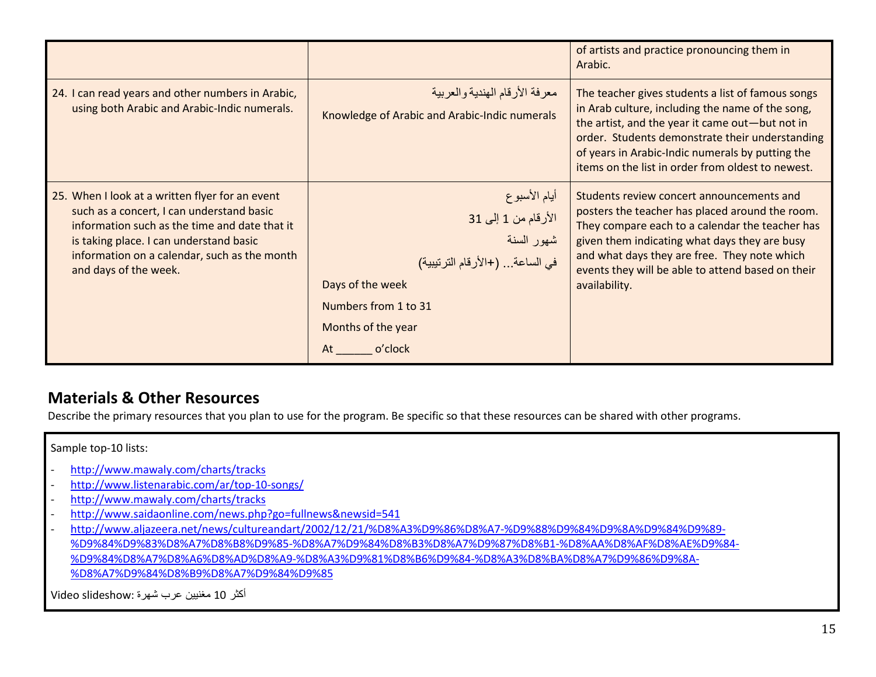|                                                                                                                                                                                                                                                                   |                                                                                                                                                                        | of artists and practice pronouncing them in<br>Arabic.                                                                                                                                                                                                                                                                 |
|-------------------------------------------------------------------------------------------------------------------------------------------------------------------------------------------------------------------------------------------------------------------|------------------------------------------------------------------------------------------------------------------------------------------------------------------------|------------------------------------------------------------------------------------------------------------------------------------------------------------------------------------------------------------------------------------------------------------------------------------------------------------------------|
| 24. I can read years and other numbers in Arabic,<br>using both Arabic and Arabic-Indic numerals.                                                                                                                                                                 | معرفة الأرقام الهندية والعربية<br>Knowledge of Arabic and Arabic-Indic numerals                                                                                        | The teacher gives students a list of famous songs<br>in Arab culture, including the name of the song,<br>the artist, and the year it came out-but not in<br>order. Students demonstrate their understanding<br>of years in Arabic-Indic numerals by putting the<br>items on the list in order from oldest to newest.   |
| 25. When I look at a written flyer for an event<br>such as a concert, I can understand basic<br>information such as the time and date that it<br>is taking place. I can understand basic<br>information on a calendar, such as the month<br>and days of the week. | أيام الأسبوع<br>الأرقام من 1 إلى 31<br>شهور السنة<br>في الساعة (+الأرقام الترنيبية)<br>Days of the week<br>Numbers from 1 to 31<br>Months of the year<br>o'clock<br>At | Students review concert announcements and<br>posters the teacher has placed around the room.<br>They compare each to a calendar the teacher has<br>given them indicating what days they are busy<br>and what days they are free. They note which<br>events they will be able to attend based on their<br>availability. |

#### Materials & Other Resources

Describe the primary resources that you plan to use for the program. Be specific so that these resources can be shared with other programs.

#### Sample top-10 lists:

- http://www.mawaly.com/charts/tracks
- http://www.listenarabic.com/ar/top-10-songs/
- http://www.mawaly.com/charts/tracks
- http://www.saidaonline.com/news.php?go=fullnews&newsid=541
- http://www.aljazeera.net/news/cultureandart/2002/12/21/%D8%A3%D9%86%D8%A7-%D9%88%D9%84%D9%8A%D9%84%D9%89- %D9%84%D9%83%D8%A7%D8%B8%D9%85-%D8%A7%D9%84%D8%B3%D8%A7%D9%87%D8%B1-%D8%AA%D8%AF%D8%AE%D9%84-%D9%84%D8%A7%D8%A6%D8%AD%D8%A9-%D8%A3%D9%81%D8%B6%D9%84-%D8%A3%D8%BA%D8%A7%D9%86%D9%8A-%D8%A7%D9%84%D8%B9%D8%A7%D9%84%D9%85

أكثر 10 مغنيين عرب شهرة :Video slideshow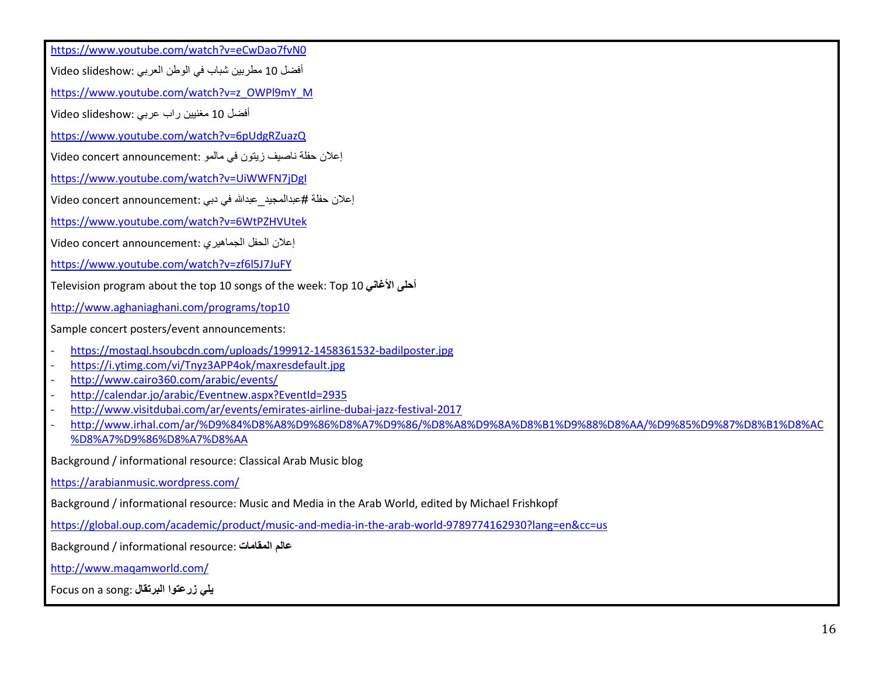https://www.youtube.com/watch?v=eCwDao7fvN0

أفضل 10 مطربين شباب في الوطن العربي :Video slideshow

https://www.youtube.com/watch?v=z\_OWPl9mY\_M

أفضل 10 مغنيين راب عربي :Video slideshow

https://www.youtube.com/watch?v=6pUdgRZuazQ

إعلان حفلة ناصيف زيتون في مالمو :Video concert announcement

https://www.youtube.com/watch?v=UiWWFN7jDgI

إعلان حفلة #عبدالمجيد\_عبدالله في دبي :Video concert announcement

https://www.youtube.com/watch?v=6WtPZHVUtek

إعلان الحفل الجماهيري :Video concert announcement

https://www.youtube.com/watch?v=zf6l5J7JuFY

Television program about the top 10 songs of the week: Top 10 غانيا أحلى

http://www.aghaniaghani.com/programs/top10

Sample concert posters/event announcements:

- https://mostaql.hsoubcdn.com/uploads/199912-1458361532-badilposter.jpg
- https://i.ytimg.com/vi/Tnyz3APP4ok/maxresdefault.jpg
- http://www.cairo360.com/arabic/events/
- http://calendar.jo/arabic/Eventnew.aspx?EventId=2935
- http://www.visitdubai.com/ar/events/emirates-airline-dubai-jazz-festival-2017
- http://www.irhal.com/ar/%D9%84%D8%A8%D9%86%D8%A7%D9%86/%D8%A8%D9%8A%D8%B1%D9%88%D8%AA/%D9%85%D9%87%D8%B1%D8%AC%D8%A7%D9%86%D8%A7%D8%AA

Background / informational resource: Classical Arab Music blog

https://arabianmusic.wordpress.com/

Background / informational resource: Music and Media in the Arab World, edited by Michael Frishkopf

https://global.oup.com/academic/product/music-and-media-in-the-arab-world-9789774162930?lang=en&cc=us

Background / informational resource: المقامات عالم

http://www.maqamworld.com/

Focus on a song: البرتقال زرعتوا يلي